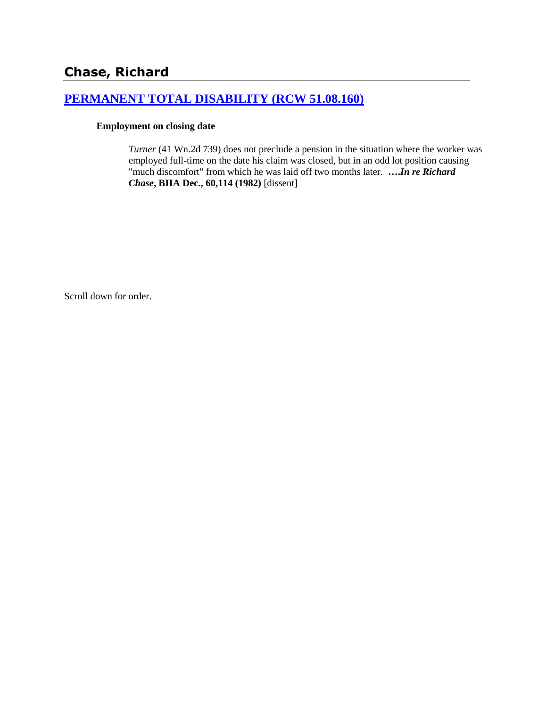# **Chase, Richard**

## **[PERMANENT TOTAL DISABILITY \(RCW 51.08.160\)](http://www.biia.wa.gov/SDSubjectIndex.html#PERMANENT_TOTAL_DISABILITY)**

### **Employment on closing date**

*Turner* (41 Wn.2d 739) does not preclude a pension in the situation where the worker was employed full-time on the date his claim was closed, but in an odd lot position causing "much discomfort" from which he was laid off two months later. **….***In re Richard Chase***, BIIA Dec., 60,114 (1982)** [dissent]

Scroll down for order.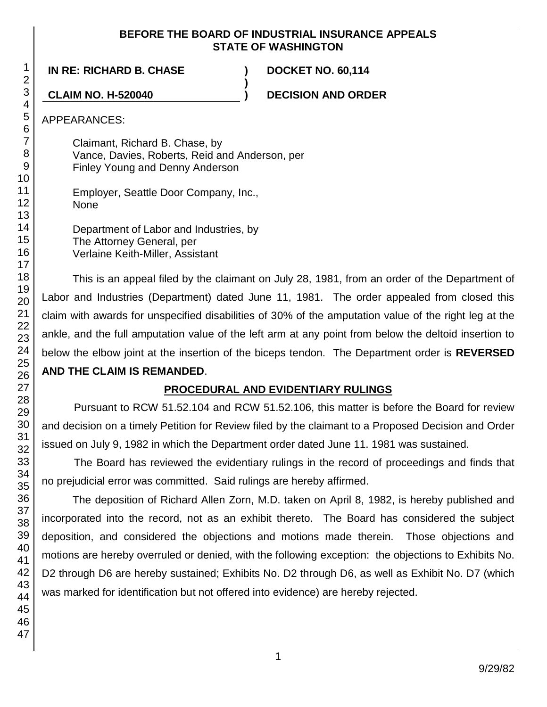## **BEFORE THE BOARD OF INDUSTRIAL INSURANCE APPEALS STATE OF WASHINGTON**

**)**

**IN RE: RICHARD B. CHASE ) DOCKET NO. 60,114**

**CLAIM NO. H-520040 ) DECISION AND ORDER**

APPEARANCES:

Claimant, Richard B. Chase, by Vance, Davies, Roberts, Reid and Anderson, per Finley Young and Denny Anderson

Employer, Seattle Door Company, Inc., None

Department of Labor and Industries, by The Attorney General, per Verlaine Keith-Miller, Assistant

This is an appeal filed by the claimant on July 28, 1981, from an order of the Department of Labor and Industries (Department) dated June 11, 1981. The order appealed from closed this claim with awards for unspecified disabilities of 30% of the amputation value of the right leg at the ankle, and the full amputation value of the left arm at any point from below the deltoid insertion to below the elbow joint at the insertion of the biceps tendon. The Department order is **REVERSED AND THE CLAIM IS REMANDED**.

# **PROCEDURAL AND EVIDENTIARY RULINGS**

Pursuant to RCW 51.52.104 and RCW 51.52.106, this matter is before the Board for review and decision on a timely Petition for Review filed by the claimant to a Proposed Decision and Order issued on July 9, 1982 in which the Department order dated June 11. 1981 was sustained.

The Board has reviewed the evidentiary rulings in the record of proceedings and finds that no prejudicial error was committed. Said rulings are hereby affirmed.

The deposition of Richard Allen Zorn, M.D. taken on April 8, 1982, is hereby published and incorporated into the record, not as an exhibit thereto. The Board has considered the subject deposition, and considered the objections and motions made therein. Those objections and motions are hereby overruled or denied, with the following exception: the objections to Exhibits No. D2 through D6 are hereby sustained; Exhibits No. D2 through D6, as well as Exhibit No. D7 (which was marked for identification but not offered into evidence) are hereby rejected.

1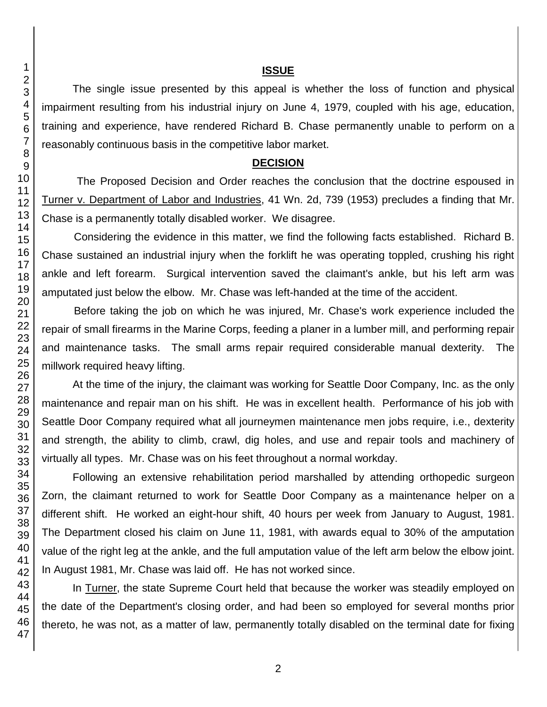#### **ISSUE**

The single issue presented by this appeal is whether the loss of function and physical impairment resulting from his industrial injury on June 4, 1979, coupled with his age, education, training and experience, have rendered Richard B. Chase permanently unable to perform on a reasonably continuous basis in the competitive labor market.

### **DECISION**

The Proposed Decision and Order reaches the conclusion that the doctrine espoused in Turner v. Department of Labor and Industries, 41 Wn. 2d, 739 (1953) precludes a finding that Mr. Chase is a permanently totally disabled worker. We disagree.

Considering the evidence in this matter, we find the following facts established. Richard B. Chase sustained an industrial injury when the forklift he was operating toppled, crushing his right ankle and left forearm. Surgical intervention saved the claimant's ankle, but his left arm was amputated just below the elbow. Mr. Chase was left-handed at the time of the accident.

Before taking the job on which he was injured, Mr. Chase's work experience included the repair of small firearms in the Marine Corps, feeding a planer in a lumber mill, and performing repair and maintenance tasks. The small arms repair required considerable manual dexterity. The millwork required heavy lifting.

At the time of the injury, the claimant was working for Seattle Door Company, Inc. as the only maintenance and repair man on his shift. He was in excellent health. Performance of his job with Seattle Door Company required what all journeymen maintenance men jobs require, i.e., dexterity and strength, the ability to climb, crawl, dig holes, and use and repair tools and machinery of virtually all types. Mr. Chase was on his feet throughout a normal workday.

Following an extensive rehabilitation period marshalled by attending orthopedic surgeon Zorn, the claimant returned to work for Seattle Door Company as a maintenance helper on a different shift. He worked an eight-hour shift, 40 hours per week from January to August, 1981. The Department closed his claim on June 11, 1981, with awards equal to 30% of the amputation value of the right leg at the ankle, and the full amputation value of the left arm below the elbow joint. In August 1981, Mr. Chase was laid off. He has not worked since.

In Turner, the state Supreme Court held that because the worker was steadily employed on the date of the Department's closing order, and had been so employed for several months prior thereto, he was not, as a matter of law, permanently totally disabled on the terminal date for fixing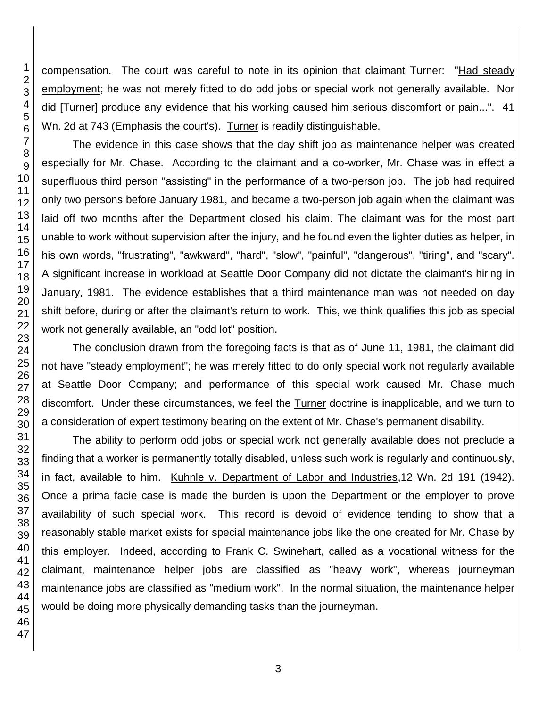compensation. The court was careful to note in its opinion that claimant Turner: "Had steady employment; he was not merely fitted to do odd jobs or special work not generally available. Nor did [Turner] produce any evidence that his working caused him serious discomfort or pain...". 41 Wn. 2d at 743 (Emphasis the court's). Turner is readily distinguishable.

The evidence in this case shows that the day shift job as maintenance helper was created especially for Mr. Chase. According to the claimant and a co-worker, Mr. Chase was in effect a superfluous third person "assisting" in the performance of a two-person job. The job had required only two persons before January 1981, and became a two-person job again when the claimant was laid off two months after the Department closed his claim. The claimant was for the most part unable to work without supervision after the injury, and he found even the lighter duties as helper, in his own words, "frustrating", "awkward", "hard", "slow", "painful", "dangerous", "tiring", and "scary". A significant increase in workload at Seattle Door Company did not dictate the claimant's hiring in January, 1981. The evidence establishes that a third maintenance man was not needed on day shift before, during or after the claimant's return to work. This, we think qualifies this job as special work not generally available, an "odd lot" position.

The conclusion drawn from the foregoing facts is that as of June 11, 1981, the claimant did not have "steady employment"; he was merely fitted to do only special work not regularly available at Seattle Door Company; and performance of this special work caused Mr. Chase much discomfort. Under these circumstances, we feel the Turner doctrine is inapplicable, and we turn to a consideration of expert testimony bearing on the extent of Mr. Chase's permanent disability.

The ability to perform odd jobs or special work not generally available does not preclude a finding that a worker is permanently totally disabled, unless such work is regularly and continuously, in fact, available to him. Kuhnle v. Department of Labor and Industries,12 Wn. 2d 191 (1942). Once a prima facie case is made the burden is upon the Department or the employer to prove availability of such special work. This record is devoid of evidence tending to show that a reasonably stable market exists for special maintenance jobs like the one created for Mr. Chase by this employer. Indeed, according to Frank C. Swinehart, called as a vocational witness for the claimant, maintenance helper jobs are classified as "heavy work", whereas journeyman maintenance jobs are classified as "medium work". In the normal situation, the maintenance helper would be doing more physically demanding tasks than the journeyman.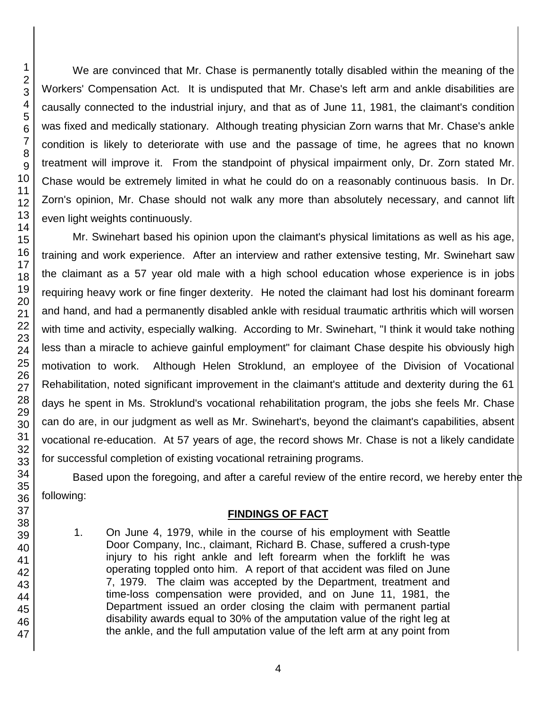We are convinced that Mr. Chase is permanently totally disabled within the meaning of the Workers' Compensation Act. It is undisputed that Mr. Chase's left arm and ankle disabilities are causally connected to the industrial injury, and that as of June 11, 1981, the claimant's condition was fixed and medically stationary. Although treating physician Zorn warns that Mr. Chase's ankle condition is likely to deteriorate with use and the passage of time, he agrees that no known treatment will improve it. From the standpoint of physical impairment only, Dr. Zorn stated Mr. Chase would be extremely limited in what he could do on a reasonably continuous basis. In Dr. Zorn's opinion, Mr. Chase should not walk any more than absolutely necessary, and cannot lift even light weights continuously.

Mr. Swinehart based his opinion upon the claimant's physical limitations as well as his age, training and work experience. After an interview and rather extensive testing, Mr. Swinehart saw the claimant as a 57 year old male with a high school education whose experience is in jobs requiring heavy work or fine finger dexterity. He noted the claimant had lost his dominant forearm and hand, and had a permanently disabled ankle with residual traumatic arthritis which will worsen with time and activity, especially walking. According to Mr. Swinehart, "I think it would take nothing less than a miracle to achieve gainful employment" for claimant Chase despite his obviously high motivation to work. Although Helen Stroklund, an employee of the Division of Vocational Rehabilitation, noted significant improvement in the claimant's attitude and dexterity during the 61 days he spent in Ms. Stroklund's vocational rehabilitation program, the jobs she feels Mr. Chase can do are, in our judgment as well as Mr. Swinehart's, beyond the claimant's capabilities, absent vocational re-education. At 57 years of age, the record shows Mr. Chase is not a likely candidate for successful completion of existing vocational retraining programs.

Based upon the foregoing, and after a careful review of the entire record, we hereby enter the following:

## **FINDINGS OF FACT**

1. On June 4, 1979, while in the course of his employment with Seattle Door Company, Inc., claimant, Richard B. Chase, suffered a crush-type injury to his right ankle and left forearm when the forklift he was operating toppled onto him. A report of that accident was filed on June 7, 1979. The claim was accepted by the Department, treatment and time-loss compensation were provided, and on June 11, 1981, the Department issued an order closing the claim with permanent partial disability awards equal to 30% of the amputation value of the right leg at the ankle, and the full amputation value of the left arm at any point from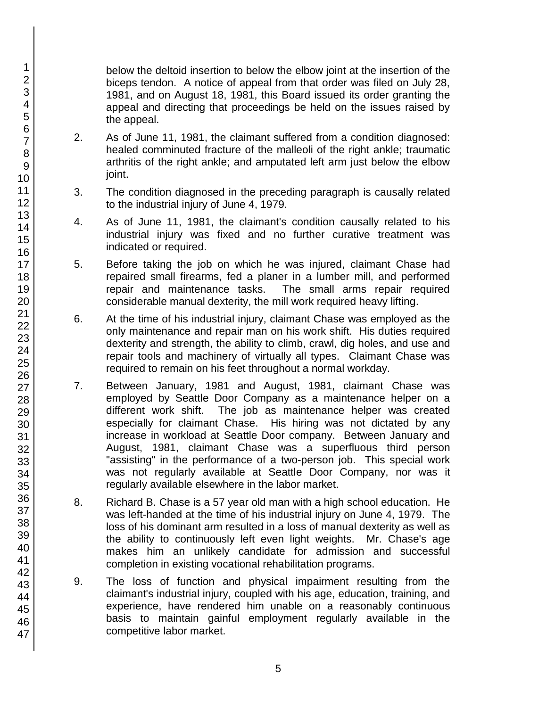below the deltoid insertion to below the elbow joint at the insertion of the biceps tendon. A notice of appeal from that order was filed on July 28, 1981, and on August 18, 1981, this Board issued its order granting the appeal and directing that proceedings be held on the issues raised by the appeal.

- 2. As of June 11, 1981, the claimant suffered from a condition diagnosed: healed comminuted fracture of the malleoli of the right ankle; traumatic arthritis of the right ankle; and amputated left arm just below the elbow joint.
- 3. The condition diagnosed in the preceding paragraph is causally related to the industrial injury of June 4, 1979.
- 4. As of June 11, 1981, the claimant's condition causally related to his industrial injury was fixed and no further curative treatment was indicated or required.
- 5. Before taking the job on which he was injured, claimant Chase had repaired small firearms, fed a planer in a lumber mill, and performed repair and maintenance tasks. The small arms repair required considerable manual dexterity, the mill work required heavy lifting.
- 6. At the time of his industrial injury, claimant Chase was employed as the only maintenance and repair man on his work shift. His duties required dexterity and strength, the ability to climb, crawl, dig holes, and use and repair tools and machinery of virtually all types. Claimant Chase was required to remain on his feet throughout a normal workday.
- 7. Between January, 1981 and August, 1981, claimant Chase was employed by Seattle Door Company as a maintenance helper on a different work shift. The job as maintenance helper was created especially for claimant Chase. His hiring was not dictated by any increase in workload at Seattle Door company. Between January and August, 1981, claimant Chase was a superfluous third person "assisting" in the performance of a two-person job. This special work was not regularly available at Seattle Door Company, nor was it regularly available elsewhere in the labor market.
- 8. Richard B. Chase is a 57 year old man with a high school education. He was left-handed at the time of his industrial injury on June 4, 1979. The loss of his dominant arm resulted in a loss of manual dexterity as well as the ability to continuously left even light weights. Mr. Chase's age makes him an unlikely candidate for admission and successful completion in existing vocational rehabilitation programs.
- 9. The loss of function and physical impairment resulting from the claimant's industrial injury, coupled with his age, education, training, and experience, have rendered him unable on a reasonably continuous basis to maintain gainful employment regularly available in the competitive labor market.

47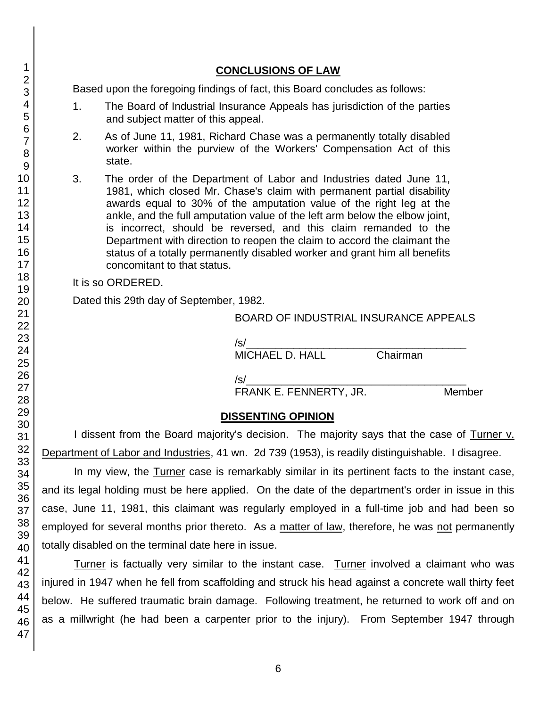## **CONCLUSIONS OF LAW**

Based upon the foregoing findings of fact, this Board concludes as follows:

- 1. The Board of Industrial Insurance Appeals has jurisdiction of the parties and subject matter of this appeal.
- 2. As of June 11, 1981, Richard Chase was a permanently totally disabled worker within the purview of the Workers' Compensation Act of this state.
- 3. The order of the Department of Labor and Industries dated June 11, 1981, which closed Mr. Chase's claim with permanent partial disability awards equal to 30% of the amputation value of the right leg at the ankle, and the full amputation value of the left arm below the elbow joint, is incorrect, should be reversed, and this claim remanded to the Department with direction to reopen the claim to accord the claimant the status of a totally permanently disabled worker and grant him all benefits concomitant to that status.

It is so ORDERED.

Dated this 29th day of September, 1982.

## BOARD OF INDUSTRIAL INSURANCE APPEALS

/s/\_\_\_\_\_\_\_\_\_\_\_\_\_\_\_\_\_\_\_\_\_\_\_\_\_\_\_\_\_\_\_\_\_\_\_\_\_ MICHAEL D. HALL Chairman

/s/\_\_\_\_\_\_\_\_\_\_\_\_\_\_\_\_\_\_\_\_\_\_\_\_\_\_\_\_\_\_\_\_\_\_\_\_\_

FRANK E. FENNERTY, JR. Member

## **DISSENTING OPINION**

I dissent from the Board majority's decision. The majority says that the case of Turner v. Department of Labor and Industries, 41 wn. 2d 739 (1953), is readily distinguishable. I disagree.

In my view, the Turner case is remarkably similar in its pertinent facts to the instant case, and its legal holding must be here applied. On the date of the department's order in issue in this case, June 11, 1981, this claimant was regularly employed in a full-time job and had been so employed for several months prior thereto. As a matter of law, therefore, he was not permanently totally disabled on the terminal date here in issue.

Turner is factually very similar to the instant case. Turner involved a claimant who was injured in 1947 when he fell from scaffolding and struck his head against a concrete wall thirty feet below. He suffered traumatic brain damage. Following treatment, he returned to work off and on as a millwright (he had been a carpenter prior to the injury). From September 1947 through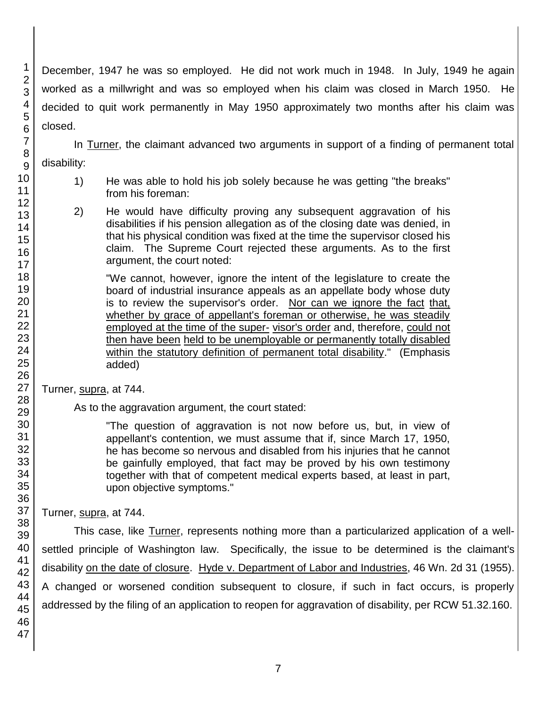December, 1947 he was so employed. He did not work much in 1948. In July, 1949 he again worked as a millwright and was so employed when his claim was closed in March 1950. He decided to quit work permanently in May 1950 approximately two months after his claim was closed.

In Turner, the claimant advanced two arguments in support of a finding of permanent total disability:

- 1) He was able to hold his job solely because he was getting "the breaks" from his foreman:
- 2) He would have difficulty proving any subsequent aggravation of his disabilities if his pension allegation as of the closing date was denied, in that his physical condition was fixed at the time the supervisor closed his claim. The Supreme Court rejected these arguments. As to the first argument, the court noted:

"We cannot, however, ignore the intent of the legislature to create the board of industrial insurance appeals as an appellate body whose duty is to review the supervisor's order. Nor can we ignore the fact that, whether by grace of appellant's foreman or otherwise, he was steadily employed at the time of the super- visor's order and, therefore, could not then have been held to be unemployable or permanently totally disabled within the statutory definition of permanent total disability." (Emphasis added)

Turner, supra, at 744.

As to the aggravation argument, the court stated:

"The question of aggravation is not now before us, but, in view of appellant's contention, we must assume that if, since March 17, 1950, he has become so nervous and disabled from his injuries that he cannot be gainfully employed, that fact may be proved by his own testimony together with that of competent medical experts based, at least in part, upon objective symptoms."

Turner, supra, at 744.

This case, like Turner, represents nothing more than a particularized application of a wellsettled principle of Washington law. Specifically, the issue to be determined is the claimant's disability on the date of closure. Hyde v. Department of Labor and Industries, 46 Wn. 2d 31 (1955). A changed or worsened condition subsequent to closure, if such in fact occurs, is properly addressed by the filing of an application to reopen for aggravation of disability, per RCW 51.32.160.

1